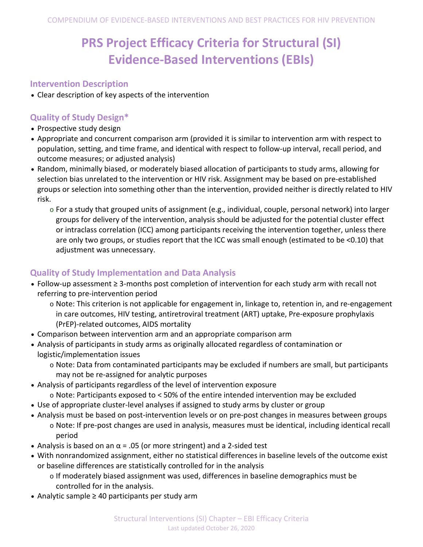# **PRS Project Efficacy Criteria for Structural (SI) Evidence-Based Interventions (EBIs)**

#### **Intervention Description**

• Clear description of key aspects of the intervention

### **Quality of Study Design\***

- Prospective study design
- Appropriate and concurrent comparison arm (provided it is similar to intervention arm with respect to population, setting, and time frame, and identical with respect to follow-up interval, recall period, and outcome measures; or adjusted analysis)
- Random, minimally biased, or moderately biased allocation of participants to study arms, allowing for selection bias unrelated to the intervention or HIV risk. Assignment may be based on pre-established groups or selection into something other than the intervention, provided neither is directly related to HIV risk.
	- $\circ$  For a study that grouped units of assignment (e.g., individual, couple, personal network) into larger groups for delivery of the intervention, analysis should be adjusted for the potential cluster effect or intraclass correlation (ICC) among participants receiving the intervention together, unless there are only two groups, or studies report that the ICC was small enough (estimated to be <0.10) that adjustment was unnecessary.

# **Quality of Study Implementation and Data Analysis**

- Follow-up assessment ≥ 3-months post completion of intervention for each study arm with recall not referring to pre-intervention period
	- o Note: This criterion is not applicable for engagement in, linkage to, retention in, and re-engagement in care outcomes, HIV testing, antiretroviral treatment (ART) uptake, Pre-exposure prophylaxis (PrEP)-related outcomes, AIDS mortality
- Comparison between intervention arm and an appropriate comparison arm
- Analysis of participants in study arms as originally allocated regardless of contamination or logistic/implementation issues
	- o Note: Data from contaminated participants may be excluded if numbers are small, but participants may not be re-assigned for analytic purposes
- Analysis of participants regardless of the level of intervention exposure
	- o Note: Participants exposed to < 50% of the entire intended intervention may be excluded
- Use of appropriate cluster-level analyses if assigned to study arms by cluster or group
- Analysis must be based on post-intervention levels or on pre-post changes in measures between groups o Note: If pre-post changes are used in analysis, measures must be identical, including identical recall period
- Analysis is based on an  $\alpha$  = .05 (or more stringent) and a 2-sided test
- With nonrandomized assignment, either no statistical differences in baseline levels of the outcome exist or baseline differences are statistically controlled for in the analysis
	- o If moderately biased assignment was used, differences in baseline demographics must be controlled for in the analysis.
- Analytic sample ≥ 40 participants per study arm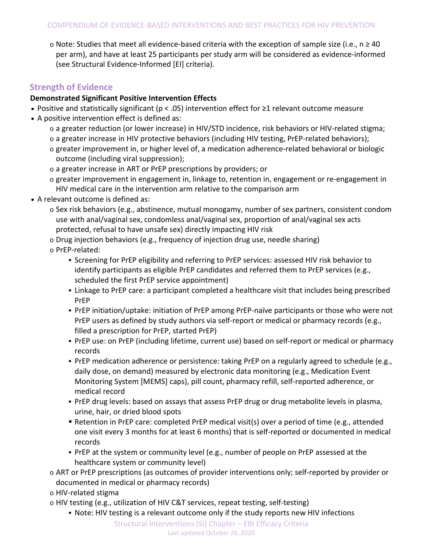o Note: Studies that meet all evidence-based criteria with the exception of sample size (i.e., n ≥ 40 per arm), and have at least 25 participants per study arm will be considered as evidence-informed (see Structural Evidence-Informed [EI] criteria).

# **Strength of Evidence**

#### **Demonstrated Significant Positive Intervention Effects**

- Positive and statistically significant (p < .05) intervention effect for ≥1 relevant outcome measure
- A positive intervention effect is defined as:
	- o a greater reduction (or lower increase) in HIV/STD incidence, risk behaviors or HIV-related stigma;
	- o a greater increase in HIV protective behaviors (including HIV testing, PrEP-related behaviors);
	- $\circ$  greater improvement in, or higher level of, a medication adherence-related behavioral or biologic outcome (including viral suppression);
	- o a greater increase in ART or PrEP prescriptions by providers; or
	- $\circ$  greater improvement in engagement in, linkage to, retention in, engagement or re-engagement in HIV medical care in the intervention arm relative to the comparison arm
- A relevant outcome is defined as:
	- $\circ$  Sex risk behaviors (e.g., abstinence, mutual monogamy, number of sex partners, consistent condom use with anal/vaginal sex, condomless anal/vaginal sex, proportion of anal/vaginal sex acts protected, refusal to have unsafe sex) directly impacting HIV risk
	- $\circ$  Drug injection behaviors (e.g., frequency of injection drug use, needle sharing)
	- o PrEP-related:
		- Screening for PrEP eligibility and referring to PrEP services: assessed HIV risk behavior to identify participants as eligible PrEP candidates and referred them to PrEP services (e.g., scheduled the first PrEP service appointment)
		- Linkage to PrEP care: a participant completed a healthcare visit that includes being prescribed PrEP
		- PrEP initiation/uptake: initiation of PrEP among PrEP-naïve participants or those who were not PrEP users as defined by study authors via self-report or medical or pharmacy records (e.g., filled a prescription for PrEP, started PrEP)
		- PrEP use: on PrEP (including lifetime, current use) based on self-report or medical or pharmacy records
		- PrEP medication adherence or persistence: taking PrEP on a regularly agreed to schedule (e.g., daily dose, on demand) measured by electronic data monitoring (e.g., Medication Event Monitoring System [MEMS] caps), pill count, pharmacy refill, self-reported adherence, or medical record
		- PrEP drug levels: based on assays that assess PrEP drug or drug metabolite levels in plasma, urine, hair, or dried blood spots
		- Retention in PrEP care: completed PrEP medical visit(s) over a period of time (e.g., attended one visit every 3 months for at least 6 months) that is self-reported or documented in medical records
		- PrEP at the system or community level (e.g., number of people on PrEP assessed at the healthcare system or community level)
	- o ART or PrEP prescriptions (as outcomes of provider interventions only; self-reported by provider or documented in medical or pharmacy records)
	- o HIV-related stigma
	- o HIV testing (e.g., utilization of HIV C&T services, repeat testing, self-testing)
		- Note: HIV testing is a relevant outcome only if the study reports new HIV infections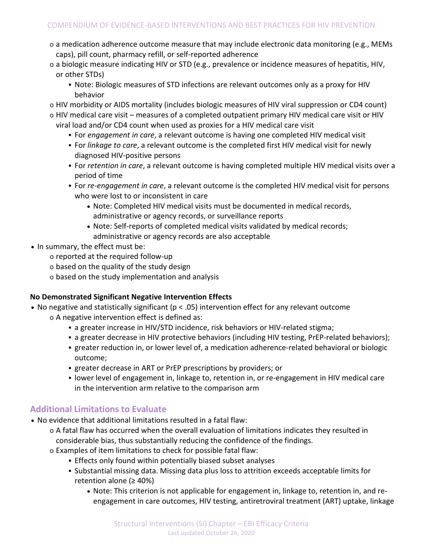- $\circ$  a medication adherence outcome measure that may include electronic data monitoring (e.g., MEMs caps), pill count, pharmacy refill, or self-reported adherence
- o a biologic measure indicating HIV or STD (e.g., prevalence or incidence measures of hepatitis, HIV, or other STDs)
	- Note: Biologic measures of STD infections are relevant outcomes only as a proxy for HIV behavior
- o HIV morbidity or AIDS mortality (includes biologic measures of HIV viral suppression or CD4 count)
- o HIV medical care visit measures of a completed outpatient primary HIV medical care visit or HIV viral load and/or CD4 count when used as proxies for a HIV medical care visit
	- For *engagement in care*, a relevant outcome is having one completed HIV medical visit
	- For *linkage to care*, a relevant outcome is the completed first HIV medical visit for newly diagnosed HIV-positive persons
	- For *retention in care*, a relevant outcome is having completed multiple HIV medical visits over a period of time
	- For *re-engagement in care*, a relevant outcome is the completed HIV medical visit for persons who were lost to or inconsistent in care
		- Note: Completed HIV medical visits must be documented in medical records, administrative or agency records, or surveillance reports
		- Note: Self-reports of completed medical visits validated by medical records; administrative or agency records are also acceptable
- In summary, the effect must be:
	- o reported at the required follow-up
	- o based on the quality of the study design
	- o based on the study implementation and analysis

#### **No Demonstrated Significant Negative Intervention Effects**

- No negative and statistically significant (p < .05) intervention effect for any relevant outcome
	- o A negative intervention effect is defined as:
		- a greater increase in HIV/STD incidence, risk behaviors or HIV-related stigma;
		- a greater decrease in HIV protective behaviors (including HIV testing, PrEP-related behaviors);
		- greater reduction in, or lower level of, a medication adherence-related behavioral or biologic outcome;
		- greater decrease in ART or PrEP prescriptions by providers; or
		- lower level of engagement in, linkage to, retention in, or re-engagement in HIV medical care in the intervention arm relative to the comparison arm

# **Additional Limitations to Evaluate**

- No evidence that additional limitations resulted in a fatal flaw:
	- o A fatal flaw has occurred when the overall evaluation of limitations indicates they resulted in considerable bias, thus substantially reducing the confidence of the findings.
	- o Examples of item limitations to check for possible fatal flaw:
		- Effects only found within potentially biased subset analyses
		- Substantial missing data. Missing data plus loss to attrition exceeds acceptable limits for retention alone (≥ 40%)
			- Note: This criterion is not applicable for engagement in, linkage to, retention in, and reengagement in care outcomes, HIV testing, antiretroviral treatment (ART) uptake, linkage